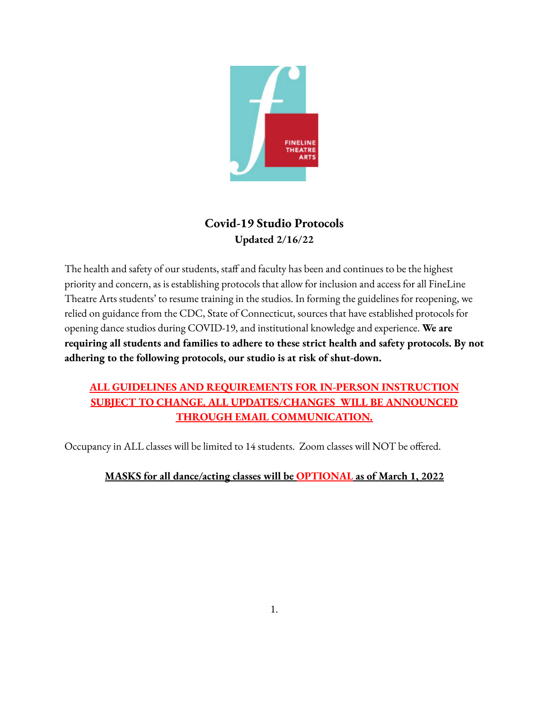

# **Covid-19 Studio Protocols Updated 2/16/22**

The health and safety of our students, staff and faculty has been and continues to be the highest priority and concern, as is establishing protocols that allow for inclusion and access for all FineLine Theatre Arts students' to resume training in the studios. In forming the guidelines for reopening, we relied on guidance from the CDC, State of Connecticut, sources that have established protocols for opening dance studios during COVID-19, and institutional knowledge and experience. **We are requiring all students and families to adhere to these strict health and safety protocols. By not adhering to the following protocols, our studio is at risk of shut-down.**

## **ALL GUIDELINES AND REQUIREMENTS FOR IN-PERSON INSTRUCTION SUBJECT TO CHANGE. ALL UPDATES/CHANGES WILL BE ANNOUNCED THROUGH EMAIL COMMUNICATION.**

Occupancy in ALL classes will be limited to 14 students. Zoom classes will NOT be offered.

### **MASKS for all dance/acting classes will be OPTIONAL as of March 1, 2022**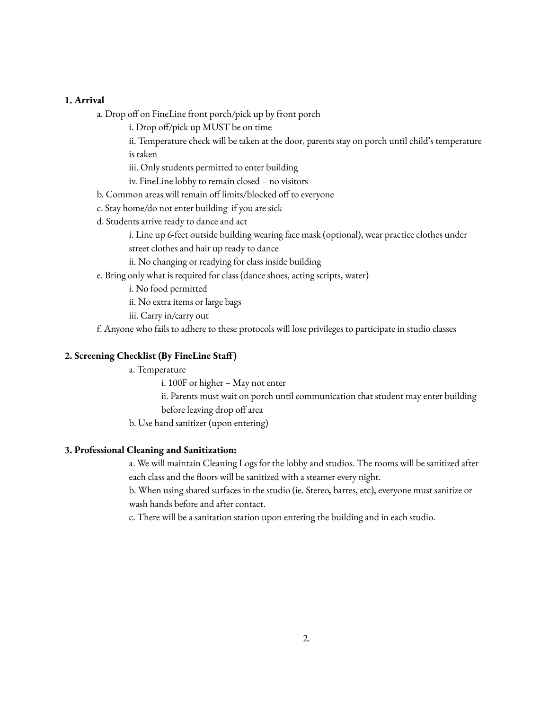#### **1. Arrival**

- a. Drop off on FineLine front porch/pick up by front porch
	- i. Drop off/pick up MUST be on time
	- ii. Temperature check will be taken at the door, parents stay on porch until child's temperature is taken
	- iii. Only students permitted to enter building
	- iv. FineLine lobby to remain closed no visitors
- b. Common areas will remain off limits/blocked off to everyone
- c. Stay home/do not enter building if you are sick
- d. Students arrive ready to dance and act
	- i. Line up 6-feet outside building wearing face mask (optional), wear practice clothes under street clothes and hair up ready to dance
	- ii. No changing or readying for class inside building
- e. Bring only what is required for class (dance shoes, acting scripts, water)
	- i. No food permitted
	- ii. No extra items or large bags
	- iii. Carry in/carry out

f. Anyone who fails to adhere to these protocols will lose privileges to participate in studio classes

#### **2. Screening Checklist (By FineLine Staff)**

- a. Temperature
	- i. 100F or higher May not enter
	- ii. Parents must wait on porch until communication that student may enter building before leaving drop off area
- b. Use hand sanitizer (upon entering)

#### **3. Professional Cleaning and Sanitization:**

a. We will maintain Cleaning Logs for the lobby and studios. The rooms will be sanitized after each class and the floors will be sanitized with a steamer every night.

b. When using shared surfaces in the studio (ie. Stereo, barres, etc), everyone must sanitize or wash hands before and after contact.

c. There will be a sanitation station upon entering the building and in each studio.